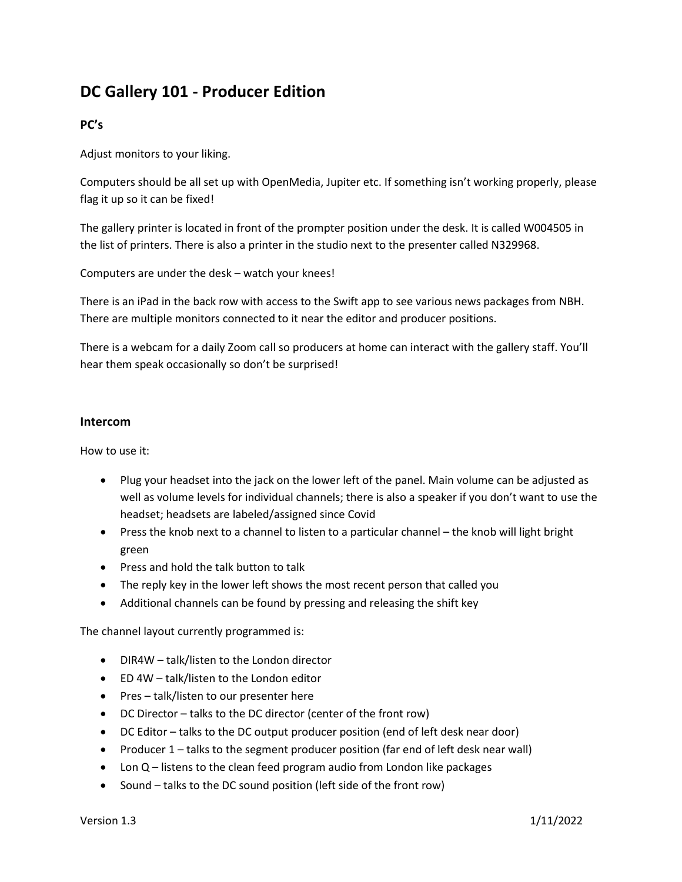# **DC Gallery 101 - Producer Edition**

## **PC's**

Adjust monitors to your liking.

Computers should be all set up with OpenMedia, Jupiter etc. If something isn't working properly, please flag it up so it can be fixed!

The gallery printer is located in front of the prompter position under the desk. It is called W004505 in the list of printers. There is also a printer in the studio next to the presenter called N329968.

Computers are under the desk – watch your knees!

There is an iPad in the back row with access to the Swift app to see various news packages from NBH. There are multiple monitors connected to it near the editor and producer positions.

There is a webcam for a daily Zoom call so producers at home can interact with the gallery staff. You'll hear them speak occasionally so don't be surprised!

### **Intercom**

How to use it:

- Plug your headset into the jack on the lower left of the panel. Main volume can be adjusted as well as volume levels for individual channels; there is also a speaker if you don't want to use the headset; headsets are labeled/assigned since Covid
- Press the knob next to a channel to listen to a particular channel the knob will light bright green
- Press and hold the talk button to talk
- The reply key in the lower left shows the most recent person that called you
- Additional channels can be found by pressing and releasing the shift key

The channel layout currently programmed is:

- DIR4W talk/listen to the London director
- ED 4W talk/listen to the London editor
- Pres talk/listen to our presenter here
- DC Director talks to the DC director (center of the front row)
- DC Editor talks to the DC output producer position (end of left desk near door)
- Producer 1 talks to the segment producer position (far end of left desk near wall)
- Lon Q listens to the clean feed program audio from London like packages
- Sound talks to the DC sound position (left side of the front row)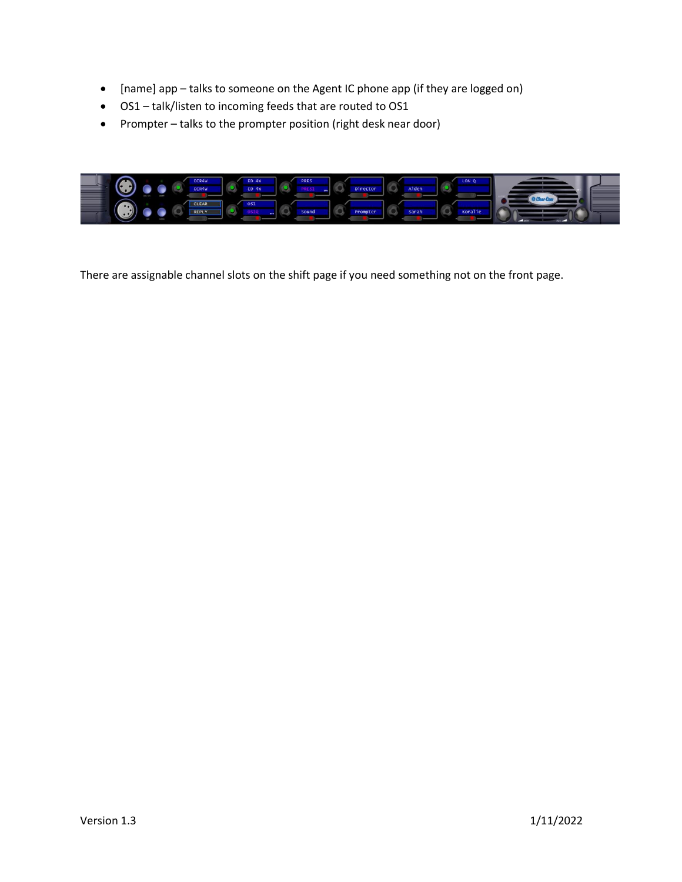- [name] app talks to someone on the Agent IC phone app (if they are logged on)
- OS1 talk/listen to incoming feeds that are routed to OS1
- Prompter talks to the prompter position (right desk near door)



There are assignable channel slots on the shift page if you need something not on the front page.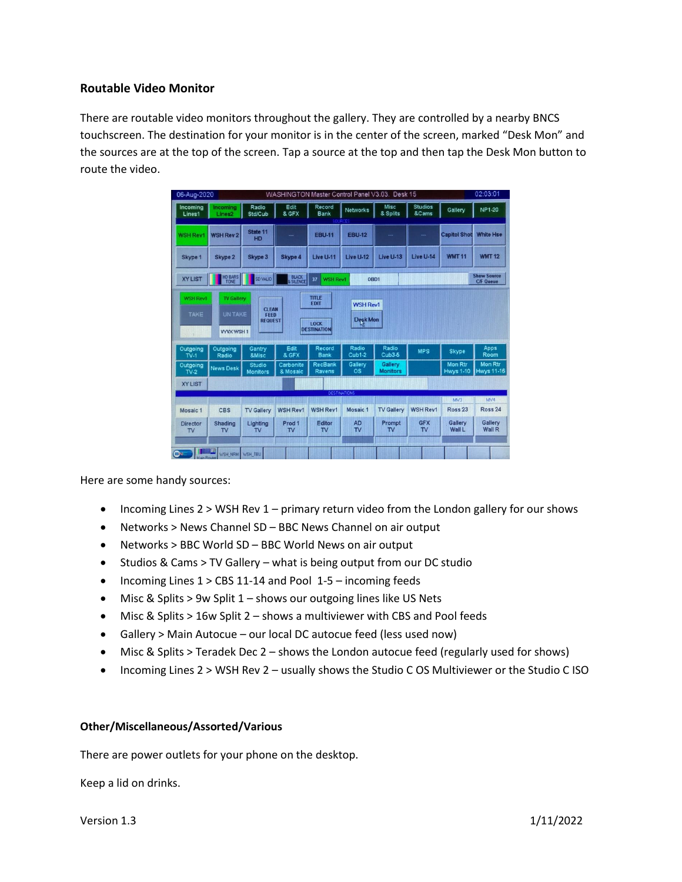### **Routable Video Monitor**

There are routable video monitors throughout the gallery. They are controlled by a nearby BNCS touchscreen. The destination for your monitor is in the center of the screen, marked "Desk Mon" and the sources are at the top of the screen. Tap a source at the top and then tap the Desk Mon button to route the video.

| 06-Aug-2020                  |                                       |                                   |                           | WASHINGTON Master Control Panel V3.03. Desk 15      |                               |                            |                         |                                    | 02:03:01                               |
|------------------------------|---------------------------------------|-----------------------------------|---------------------------|-----------------------------------------------------|-------------------------------|----------------------------|-------------------------|------------------------------------|----------------------------------------|
| Incoming<br>Lines1           | Incoming<br>Lines2                    | Radio<br><b>Std/Cub</b>           | Edit<br>& GFX             | Record<br><b>Bank</b>                               | Networks                      | Misc<br>& Splits           | <b>Studios</b><br>&Cams | Gallery                            | NP1-20                                 |
| <b>WSH Rev1</b>              | <b>WSH Rev 2</b>                      | State 11<br>HD                    |                           | <b>EBU-11</b>                                       | <b>EBU-12</b>                 |                            |                         | <b>Capitol Shot</b>                | <b>White Hse</b>                       |
| Skype 1                      | Skype 2                               | Skype 3                           | Skype 4                   | Live U-11                                           | Live U-12                     | Live U-13                  | Live U-14               | <b>WMT 11</b>                      | <b>WMT 12</b>                          |
| <b>XY LIST</b>               | HD BARS<br>TONE                       | SD VALID                          | <b>BLACK</b><br>& SILENCE | 37<br><b>WSH Rev1</b>                               | OBD1                          |                            |                         |                                    | <b>Show Source</b><br><b>C/F Queue</b> |
| Outgoing<br>$TV-1$           | <b>VYVX WSH1</b><br>Outgoing<br>Radio | <b>REQUEST</b><br>Gantry<br>&Misc | Edit<br>& GFX             | <b>LOCK</b><br><b>DESTINATION</b><br>Record<br>Bank | Desk Mon<br>Radio<br>$Cub1-2$ | Radio<br>Cub3-5            | <b>MPS</b>              | <b>Skype</b>                       | Apps<br>Room                           |
| Outgoing<br>$TV-2$           | <b>News Desk</b>                      | Studio<br><b>Monitors</b>         | Carbonite<br>& Mosaic     | RecBank<br><b>Ravens</b>                            | Gallery<br><b>OS</b>          | Gallery<br><b>Monitors</b> |                         | <b>Mon Rtr</b><br><b>Hwys 1-10</b> | <b>Mon Rtr</b><br><b>Hwys 11-16</b>    |
| <b>XY LIST</b>               |                                       |                                   |                           |                                                     | <b>DESTINATIONS</b>           |                            |                         |                                    |                                        |
|                              |                                       |                                   |                           |                                                     |                               |                            |                         | MV3                                | MVA                                    |
| Mosaic 1                     | <b>CBS</b>                            | <b>TV Gallery</b>                 | <b>WSH Rev1</b>           | <b>WSH Rev1</b>                                     | Mosaic <sub>1</sub>           | <b>TV Gallery</b>          | <b>WSH Rev1</b>         | Ross <sub>23</sub>                 | <b>Ross 24</b>                         |
| <b>Director</b><br><b>TV</b> | Shading<br>$\mathsf{TV}$              | Lighting<br>TV                    | Prod 1<br>TV              | Editor<br><b>TV</b>                                 | <b>AD</b><br>TV               | Prompt<br>T <sub>V</sub>   | <b>GFX</b><br>TV        | Gallery<br><b>Wall L</b>           | Gallery<br><b>Wall R</b>               |
| GN.                          | <b>HHLL</b><br>WSH_NRM WSH_TBU        |                                   |                           |                                                     |                               |                            |                         |                                    |                                        |

Here are some handy sources:

- Incoming Lines 2 > WSH Rev 1 primary return video from the London gallery for our shows
- Networks > News Channel SD BBC News Channel on air output
- Networks > BBC World SD BBC World News on air output
- Studios & Cams > TV Gallery what is being output from our DC studio
- Incoming Lines 1 > CBS 11-14 and Pool 1-5 incoming feeds
- Misc & Splits > 9w Split 1 shows our outgoing lines like US Nets
- Misc & Splits > 16w Split 2 shows a multiviewer with CBS and Pool feeds
- Gallery > Main Autocue our local DC autocue feed (less used now)
- Misc & Splits > Teradek Dec 2 shows the London autocue feed (regularly used for shows)
- Incoming Lines 2 > WSH Rev 2 usually shows the Studio C OS Multiviewer or the Studio C ISO

#### **Other/Miscellaneous/Assorted/Various**

There are power outlets for your phone on the desktop.

Keep a lid on drinks.

Version 1.3 1/11/2022